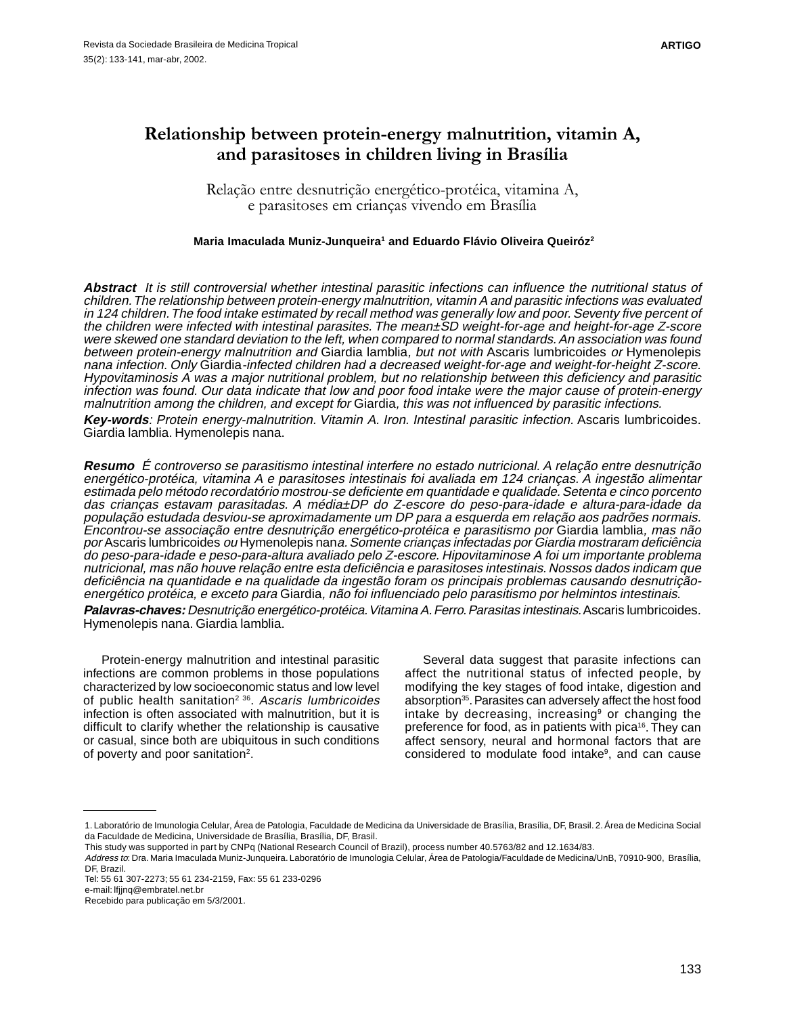# **Relationship between protein-energy malnutrition, vitamin A, and parasitoses in children living in Brasília**

Relação entre desnutrição energético-protéica, vitamina A, e parasitoses em crianças vivendo em Brasília

## Maria Imaculada Muniz-Junqueira<sup>1</sup> and Eduardo Flávio Oliveira Queiróz<sup>2</sup>

**Abstract** It is still controversial whether intestinal parasitic infections can influence the nutritional status of children. The relationship between protein-energy malnutrition, vitamin A and parasitic infections was evaluated in 124 children. The food intake estimated by recall method was generally low and poor. Seventy five percent of the children were infected with intestinal parasites. The mean±SD weight-for-age and height-for-age Z-score were skewed one standard deviation to the left, when compared to normal standards. An association was found between protein-energy malnutrition and Giardia lamblia, but not with Ascaris lumbricoides or Hymenolepis nana infection. Only Giardia-infected children had a decreased weight-for-age and weight-for-height Z-score. Hypovitaminosis A was a major nutritional problem, but no relationship between this deficiency and parasitic infection was found. Our data indicate that low and poor food intake were the major cause of protein-energy malnutrition among the children, and except for Giardia, this was not influenced by parasitic infections.

**Key-words**: Protein energy-malnutrition. Vitamin A. Iron. Intestinal parasitic infection. Ascaris lumbricoides.<br>Giardia lamblia. Hymenolepis nana.

**Resumo** É controverso se parasitismo intestinal interfere no estado nutricional. A relação entre desnutrição energético-protéica, vitamina A e parasitoses intestinais foi avaliada em 124 crianças. A ingestão alimentar estimada pelo método recordatório mostrou-se deficiente em quantidade e qualidade. Setenta e cinco porcento das crianças estavam parasitadas. A média±DP do Z-escore do peso-para-idade e altura-para-idade da população estudada desviou-se aproximadamente um DP para a esquerda em relação aos padrões normais. Encontrou-se associação entre desnutrição energético-protéica e parasitismo por Giardia lamblia, mas não por Ascaris lumbricoides ou Hymenolepis nana. Somente crianças infectadas por Giardia mostraram deficiência do peso-para-idade e peso-para-altura avaliado pelo Z-escore. Hipovitaminose A foi um importante problema nutricional, mas não houve relação entre esta deficiência e parasitoses intestinais. Nossos dados indicam que deficiência na quantidade e na qualidade da ingestão foram os principais problemas causando desnutriçãoenergético protéica, e exceto para Giardia, não foi influenciado pelo parasitismo por helmintos intestinais.

**Palavras-chaves:** Desnutrição energético-protéica. Vitamina A. Ferro. Parasitas intestinais. Ascaris lumbricoides. Hymenolepis nana. Giardia lamblia.

Protein-energy malnutrition and intestinal parasitic infections are common problems in those populations characterized by low socioeconomic status and low level of public health sanitation<sup>2 36</sup>. Ascaris lumbricoides infection is often associated with malnutrition, but it is difficult to clarify whether the relationship is causative or casual, since both are ubiquitous in such conditions of poverty and poor sanitation<sup>2</sup>.

Several data suggest that parasite infections can affect the nutritional status of infected people, by modifying the key stages of food intake, digestion and absorption35. Parasites can adversely affect the host food intake by decreasing, increasing $9$  or changing the preference for food, as in patients with pica<sup>16</sup>. They can affect sensory, neural and hormonal factors that are considered to modulate food intake<sup>9</sup>, and can cause

<sup>1.</sup> Laboratório de Imunologia Celular, Área de Patologia, Faculdade de Medicina da Universidade de Brasília, Brasília, DF, Brasil. 2. Área de Medicina Social da Faculdade de Medicina, Universidade de Brasília, Brasília, DF, Brasil.

This study was supported in part by CNPq (National Research Council of Brazil), process number 40.5763/82 and 12.1634/83.

Address to: Dra. Maria Imaculada Muniz-Junqueira. Laboratório de Imunologia Celular, Área de Patologia/Faculdade de Medicina/UnB, 70910-900, Brasília, DF Brazil.

Tel: 55 61 307-2273; 55 61 234-2159, Fax: 55 61 233-0296

e-mail: lfjjnq@embratel.net.br

Recebido para publicação em 5/3/2001.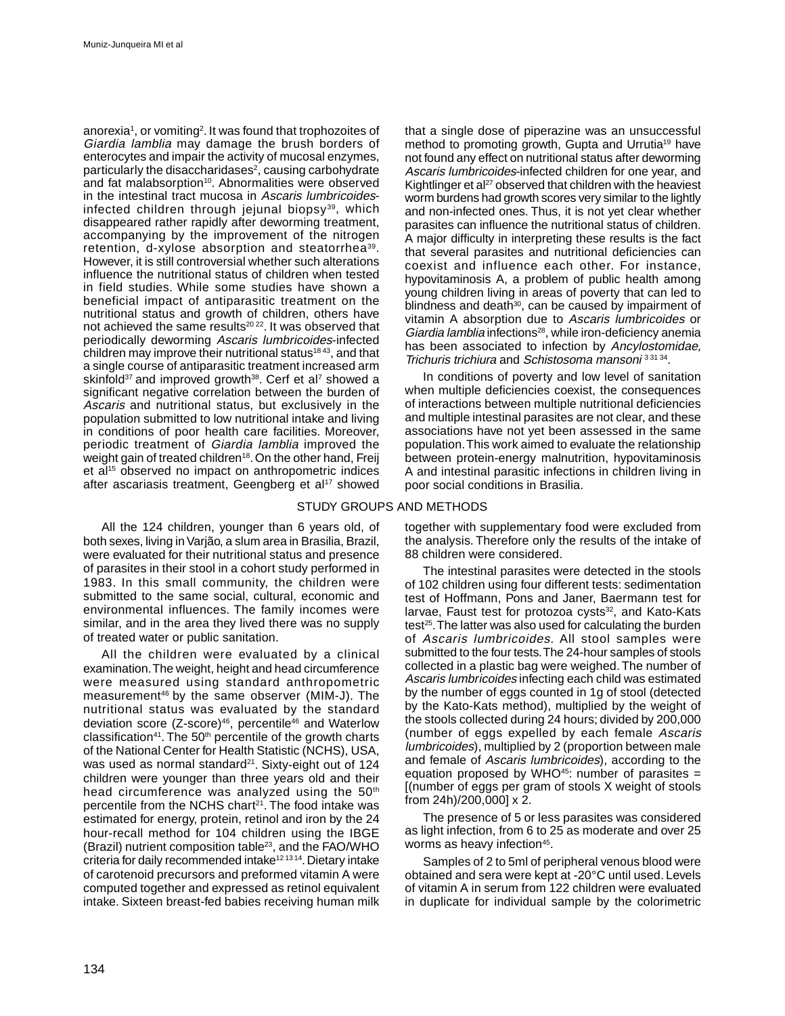anorexia<sup>1</sup>, or vomiting<sup>2</sup>. It was found that trophozoites of Giardia lamblia may damage the brush borders of enterocytes and impair the activity of mucosal enzymes, particularly the disaccharidases<sup>2</sup>, causing carbohydrate and fat malabsorption<sup>10</sup>. Abnormalities were observed in the intestinal tract mucosa in Ascaris lumbricoidesinfected children through jejunal biopsy $39$ , which disappeared rather rapidly after deworming treatment, accompanying by the improvement of the nitrogen retention, d-xylose absorption and steatorrhea<sup>39</sup>. However, it is still controversial whether such alterations influence the nutritional status of children when tested in field studies. While some studies have shown a beneficial impact of antiparasitic treatment on the nutritional status and growth of children, others have not achieved the same results<sup>20 22</sup>. It was observed that periodically deworming Ascaris lumbricoides-infected children may improve their nutritional status<sup>1843</sup>, and that a single course of antiparasitic treatment increased arm skinfold<sup>37</sup> and improved growth<sup>38</sup>. Cerf et al<sup>7</sup> showed a significant negative correlation between the burden of Ascaris and nutritional status, but exclusively in the population submitted to low nutritional intake and living in conditions of poor health care facilities. Moreover, periodic treatment of Giardia lamblia improved the weight gain of treated children<sup>18</sup>. On the other hand, Freij et al<sup>15</sup> observed no impact on anthropometric indices after ascariasis treatment, Geengberg et al<sup>17</sup> showed

that a single dose of piperazine was an unsuccessful method to promoting growth, Gupta and Urrutia<sup>19</sup> have not found any effect on nutritional status after deworming Ascaris lumbricoides-infected children for one year, and Kightlinger et al<sup>27</sup> observed that children with the heaviest worm burdens had growth scores very similar to the lightly and non-infected ones. Thus, it is not yet clear whether parasites can influence the nutritional status of children. A major difficulty in interpreting these results is the fact that several parasites and nutritional deficiencies can coexist and influence each other. For instance, hypovitaminosis A, a problem of public health among young children living in areas of poverty that can led to blindness and death $30$ , can be caused by impairment of vitamin A absorption due to Ascaris lumbricoides or Giardia lamblia infections $28$ , while iron-deficiency anemia has been associated to infection by Ancylostomidae, Trichuris trichiura and Schistosoma mansoni 3 31 34.

In conditions of poverty and low level of sanitation when multiple deficiencies coexist, the consequences of interactions between multiple nutritional deficiencies and multiple intestinal parasites are not clear, and these associations have not yet been assessed in the same population. This work aimed to evaluate the relationship between protein-energy malnutrition, hypovitaminosis A and intestinal parasitic infections in children living in poor social conditions in Brasilia.

### STUDY GROUPS AND METHODS

All the 124 children, younger than 6 years old, of both sexes, living in Varjão, a slum area in Brasilia, Brazil, were evaluated for their nutritional status and presence of parasites in their stool in a cohort study performed in 1983. In this small community, the children were submitted to the same social, cultural, economic and environmental influences. The family incomes were similar, and in the area they lived there was no supply of treated water or public sanitation.

All the children were evaluated by a clinical examination. The weight, height and head circumference were measured using standard anthropometric measurement46 by the same observer (MIM-J). The nutritional status was evaluated by the standard deviation score (Z-score)<sup>46</sup>, percentile<sup>46</sup> and Waterlow classification<sup>41</sup>. The 50<sup>th</sup> percentile of the growth charts of the National Center for Health Statistic (NCHS), USA, was used as normal standard $21$ . Sixty-eight out of 124 children were younger than three years old and their head circumference was analyzed using the 50<sup>th</sup> percentile from the NCHS chart $2<sup>1</sup>$ . The food intake was estimated for energy, protein, retinol and iron by the 24 hour-recall method for 104 children using the IBGE (Brazil) nutrient composition table23, and the FAO/WHO criteria for daily recommended intake<sup>121314</sup>. Dietary intake of carotenoid precursors and preformed vitamin A were computed together and expressed as retinol equivalent intake. Sixteen breast-fed babies receiving human milk together with supplementary food were excluded from the analysis. Therefore only the results of the intake of 88 children were considered.

The intestinal parasites were detected in the stools of 102 children using four different tests: sedimentation test of Hoffmann, Pons and Janer, Baermann test for larvae, Faust test for protozoa cysts<sup>32</sup>, and Kato-Kats test<sup>25</sup>. The latter was also used for calculating the burden of Ascaris lumbricoides. All stool samples were submitted to the four tests. The 24-hour samples of stools collected in a plastic bag were weighed. The number of Ascaris lumbricoides infecting each child was estimated by the number of eggs counted in 1g of stool (detected by the Kato-Kats method), multiplied by the weight of the stools collected during 24 hours; divided by 200,000 (number of eggs expelled by each female Ascaris lumbricoides), multiplied by 2 (proportion between male and female of Ascaris lumbricoides), according to the equation proposed by WHO $45$ : number of parasites = [(number of eggs per gram of stools X weight of stools from 24h)/200,000] x 2.

The presence of 5 or less parasites was considered as light infection, from 6 to 25 as moderate and over 25 worms as heavy infection<sup>45</sup>.

Samples of 2 to 5ml of peripheral venous blood were obtained and sera were kept at -20°C until used. Levels of vitamin A in serum from 122 children were evaluated in duplicate for individual sample by the colorimetric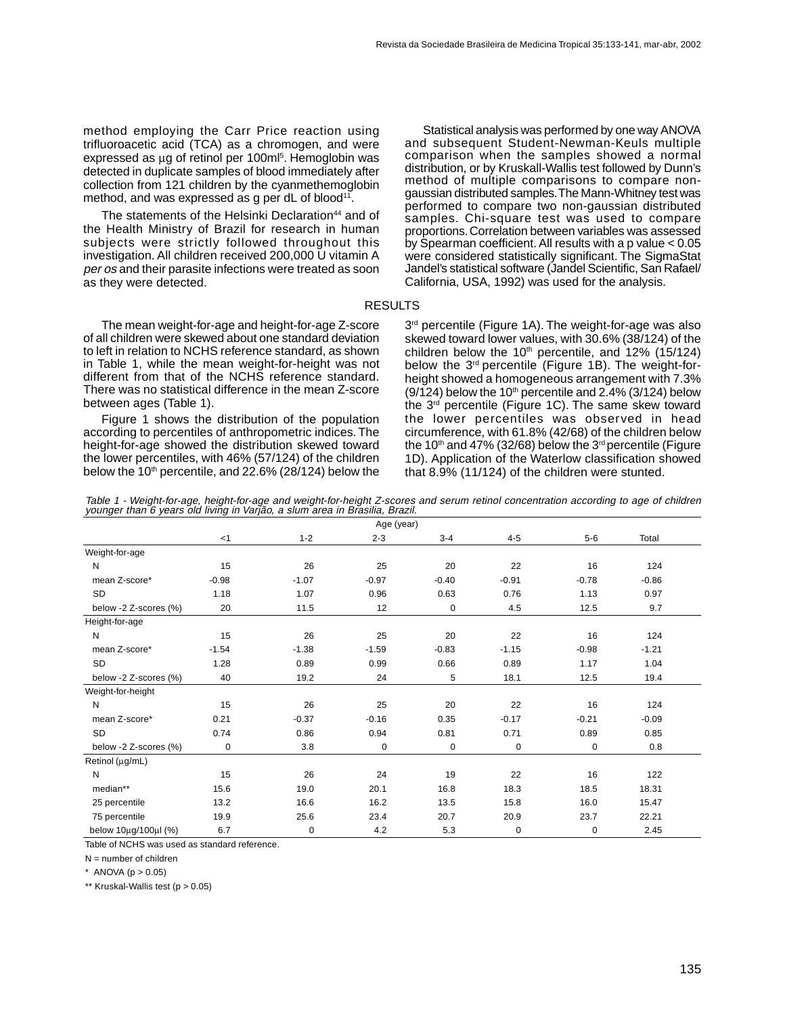method employing the Carr Price reaction using trifluoroacetic acid (TCA) as a chromogen, and were expressed as µg of retinol per 100ml<sup>5</sup>. Hemoglobin was detected in duplicate samples of blood immediately after collection from 121 children by the cyanmethemoglobin method, and was expressed as g per  $dL$  of blood<sup>11</sup>.

The statements of the Helsinki Declaration<sup>44</sup> and of the Health Ministry of Brazil for research in human subjects were strictly followed throughout this investigation. All children received 200,000 U vitamin A per os and their parasite infections were treated as soon as they were detected.

Statistical analysis was performed by one way ANOVA and subsequent Student-Newman-Keuls multiple comparison when the samples showed a normal distribution, or by Kruskall-Wallis test followed by Dunn's method of multiple comparisons to compare nongaussian distributed samples. The Mann-Whitney test was performed to compare two non-gaussian distributed samples. Chi-square test was used to compare proportions. Correlation between variables was assessed by Spearman coefficient. All results with a p value < 0.05 were considered statistically significant. The SigmaStat Jandel's statistical software (Jandel Scientific, San Rafael/ California, USA, 1992) was used for the analysis.

#### RESULTS

The mean weight-for-age and height-for-age Z-score of all children were skewed about one standard deviation to left in relation to NCHS reference standard, as shown in Table 1, while the mean weight-for-height was not different from that of the NCHS reference standard. There was no statistical difference in the mean Z-score between ages (Table 1).

Figure 1 shows the distribution of the population according to percentiles of anthropometric indices. The height-for-age showed the distribution skewed toward the lower percentiles, with 46% (57/124) of the children below the  $10<sup>th</sup>$  percentile, and 22.6% (28/124) below the 3<sup>rd</sup> percentile (Figure 1A). The weight-for-age was also skewed toward lower values, with 30.6% (38/124) of the children below the  $10<sup>th</sup>$  percentile, and  $12%$  (15/124) below the 3rd percentile (Figure 1B). The weight-forheight showed a homogeneous arrangement with 7.3%  $(9/124)$  below the 10<sup>th</sup> percentile and 2.4%  $(3/124)$  below the  $3<sup>rd</sup>$  percentile (Figure 1C). The same skew toward the lower percentiles was observed in head circumference, with 61.8% (42/68) of the children below the 10<sup>th</sup> and 47% (32/68) below the 3<sup>rd</sup> percentile (Figure 1D). Application of the Waterlow classification showed that 8.9% (11/124) of the children were stunted.

Table 1 - Weight-for-age, height-for-age and weight-for-height Z-scores and serum retinol concentration according to age of children younger than 6 years old living in Varjão, a slum area in Brasilia, Brazil.

| Age (year)            |           |             |         |             |         |             |         |  |  |  |
|-----------------------|-----------|-------------|---------|-------------|---------|-------------|---------|--|--|--|
|                       | < 1       | $1 - 2$     | $2 - 3$ | $3 - 4$     | $4 - 5$ | $5-6$       | Total   |  |  |  |
| Weight-for-age        |           |             |         |             |         |             |         |  |  |  |
| Ν                     | 15        | 26          | 25      | 20          | 22      | 16          | 124     |  |  |  |
| mean Z-score*         | $-0.98$   | $-1.07$     | $-0.97$ | $-0.40$     | $-0.91$ | $-0.78$     | $-0.86$ |  |  |  |
| SD                    | 1.18      | 1.07        | 0.96    | 0.63        | 0.76    | 1.13        | 0.97    |  |  |  |
| below -2 Z-scores (%) | 20        | 11.5        | 12      | $\mathbf 0$ | 4.5     | 12.5        | 9.7     |  |  |  |
| Height-for-age        |           |             |         |             |         |             |         |  |  |  |
| N                     | 15        | 26          | 25      | 20          | 22      | 16          | 124     |  |  |  |
| mean Z-score*         | $-1.54$   | $-1.38$     | $-1.59$ | $-0.83$     | $-1.15$ | $-0.98$     | $-1.21$ |  |  |  |
| <b>SD</b>             | 1.28      | 0.89        | 0.99    | 0.66        | 0.89    | 1.17        | 1.04    |  |  |  |
| below -2 Z-scores (%) | 40        | 19.2        | 24      | 5           | 18.1    | 12.5        | 19.4    |  |  |  |
| Weight-for-height     |           |             |         |             |         |             |         |  |  |  |
| N                     | 15        | 26          | 25      | 20          | 22      | 16          | 124     |  |  |  |
| mean Z-score*         | 0.21      | $-0.37$     | $-0.16$ | 0.35        | $-0.17$ | $-0.21$     | $-0.09$ |  |  |  |
| SD                    | 0.74      | 0.86        | 0.94    | 0.81        | 0.71    | 0.89        | 0.85    |  |  |  |
| below -2 Z-scores (%) | $\pmb{0}$ | 3.8         | 0       | $\mathbf 0$ | 0       | $\mathbf 0$ | 0.8     |  |  |  |
| Retinol (µg/mL)       |           |             |         |             |         |             |         |  |  |  |
| N                     | 15        | 26          | 24      | 19          | 22      | 16          | 122     |  |  |  |
| median**              | 15.6      | 19.0        | 20.1    | 16.8        | 18.3    | 18.5        | 18.31   |  |  |  |
| 25 percentile         | 13.2      | 16.6        | 16.2    | 13.5        | 15.8    | 16.0        | 15.47   |  |  |  |
| 75 percentile         | 19.9      | 25.6        | 23.4    | 20.7        | 20.9    | 23.7        | 22.21   |  |  |  |
| below 10μg/100μl (%)  | 6.7       | $\mathbf 0$ | 4.2     | 5.3         | 0       | 0           | 2.45    |  |  |  |

Table of NCHS was used as standard reference.

N = number of children

\* ANOVA  $(p > 0.05)$ 

\*\* Kruskal-Wallis test (p > 0.05)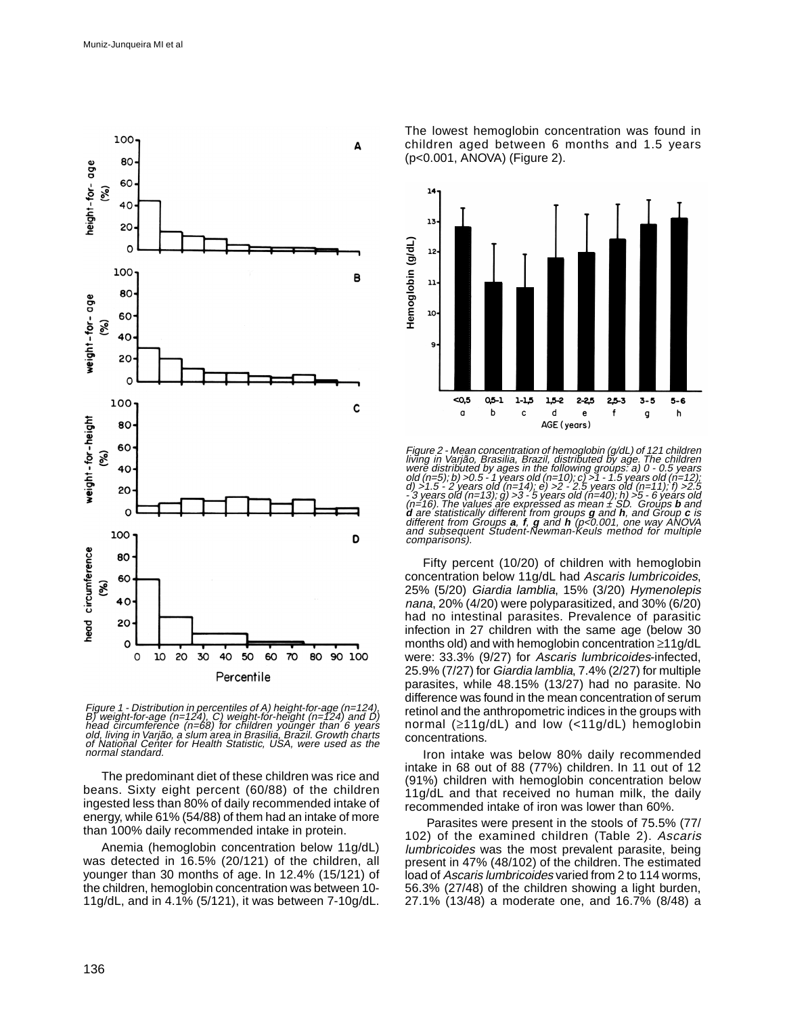

Figure 1 - Distribution in percentiles of A) height-for-age (n=124),<br>B) weight-for-age (n=124), C) weight-for-height (n=124) and D)<br>head circumference (n=68) for children younger than 6 years<br>old, living in Varjão, a slum of National Center for Health Statistic, USA, were used as the normal standard.

The predominant diet of these children was rice and beans. Sixty eight percent (60/88) of the children ingested less than 80% of daily recommended intake of energy, while 61% (54/88) of them had an intake of more than 100% daily recommended intake in protein.

Anemia (hemoglobin concentration below 11g/dL) was detected in 16.5% (20/121) of the children, all younger than 30 months of age. In 12.4% (15/121) of the children, hemoglobin concentration was between 10- 11g/dL, and in 4.1% (5/121), it was between 7-10g/dL. The lowest hemoglobin concentration was found in children aged between 6 months and 1.5 years (p<0.001, ANOVA) (Figure 2).



Figure 2 - Mean concentration of hemoglobin (g/dL) of 121 children<br>living in Varjão, Brasilia, Brazil, distributed by age. The children<br>were distributed by ages in the following groups: a) 0 - 0.5 years<br>old (n=5); b) >0.5

Fifty percent (10/20) of children with hemoglobin concentration below 11g/dL had Ascaris lumbricoides, 25% (5/20) Giardia lamblia, 15% (3/20) Hymenolepis nana, 20% (4/20) were polyparasitized, and 30% (6/20) had no intestinal parasites. Prevalence of parasitic infection in 27 children with the same age (below 30 months old) and with hemoglobin concentration ≥11g/dL were: 33.3% (9/27) for Ascaris lumbricoides-infected, 25.9% (7/27) for Giardia lamblia, 7.4% (2/27) for multiple parasites, while 48.15% (13/27) had no parasite. No difference was found in the mean concentration of serum retinol and the anthropometric indices in the groups with normal (≥11g/dL) and low (<11g/dL) hemoglobin concentrations.

Iron intake was below 80% daily recommended intake in 68 out of 88 (77%) children. In 11 out of 12 (91%) children with hemoglobin concentration below 11g/dL and that received no human milk, the daily recommended intake of iron was lower than 60%.

 Parasites were present in the stools of 75.5% (77/ 102) of the examined children (Table 2). Ascaris lumbricoides was the most prevalent parasite, being present in 47% (48/102) of the children. The estimated load of Ascaris lumbricoides varied from 2 to 114 worms, 56.3% (27/48) of the children showing a light burden, 27.1% (13/48) a moderate one, and 16.7% (8/48) a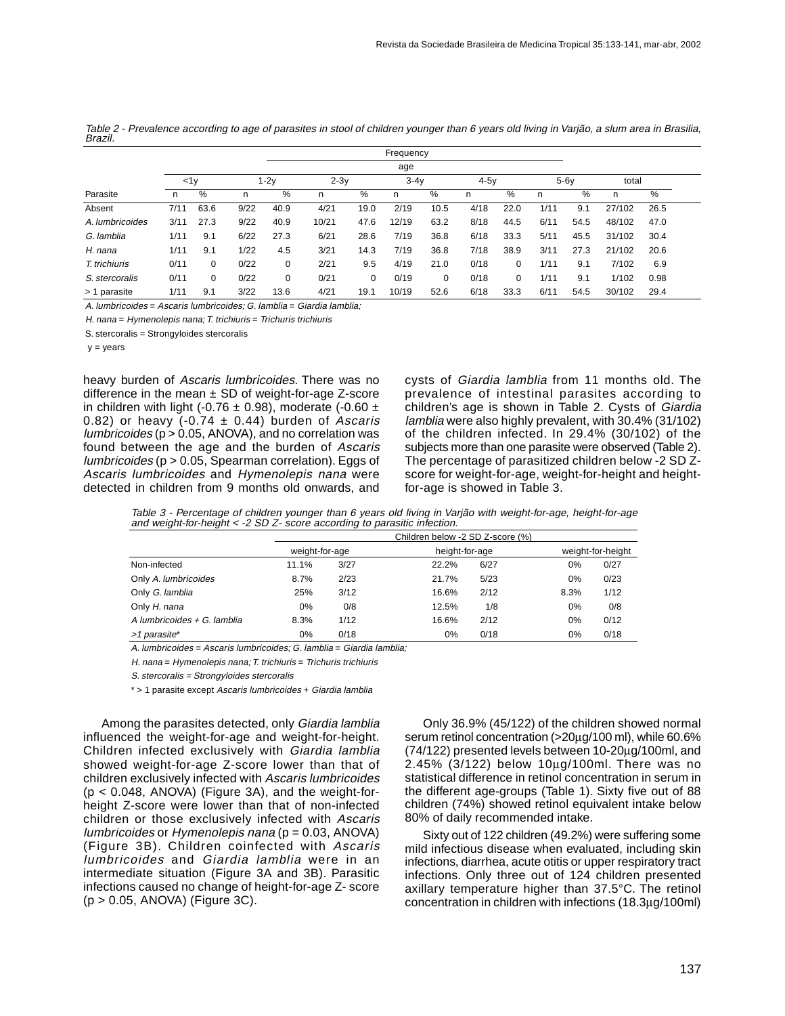|                 |        | Frequency |      |        |        |      |        |      |        |      |        |      |        |      |  |
|-----------------|--------|-----------|------|--------|--------|------|--------|------|--------|------|--------|------|--------|------|--|
|                 | age    |           |      |        |        |      |        |      |        |      |        |      |        |      |  |
|                 | $<1$ y |           |      | $1-2y$ | $2-3y$ |      | $3-4y$ |      | $4-5y$ |      | $5-6v$ |      | total  |      |  |
| Parasite        | n      | %         | n    | %      | n      | %    | n      | %    | n      | %    | n      | %    | n      | %    |  |
| Absent          | 7/11   | 63.6      | 9/22 | 40.9   | 4/21   | 19.0 | 2/19   | 10.5 | 4/18   | 22.0 | 1/11   | 9.1  | 27/102 | 26.5 |  |
| A. lumbricoides | 3/11   | 27.3      | 9/22 | 40.9   | 10/21  | 47.6 | 12/19  | 63.2 | 8/18   | 44.5 | 6/11   | 54.5 | 48/102 | 47.0 |  |
| G. lamblia      | 1/11   | 9.1       | 6/22 | 27.3   | 6/21   | 28.6 | 7/19   | 36.8 | 6/18   | 33.3 | 5/11   | 45.5 | 31/102 | 30.4 |  |
| H. nana         | 1/11   | 9.1       | 1/22 | 4.5    | 3/21   | 14.3 | 7/19   | 36.8 | 7/18   | 38.9 | 3/11   | 27.3 | 21/102 | 20.6 |  |
| T. trichiuris   | 0/11   | 0         | 0/22 | 0      | 2/21   | 9.5  | 4/19   | 21.0 | 0/18   | 0    | 1/11   | 9.1  | 7/102  | 6.9  |  |
| S. stercoralis  | 0/11   | 0         | 0/22 | 0      | 0/21   | 0    | 0/19   | 0    | 0/18   | 0    | 1/11   | 9.1  | 1/102  | 0.98 |  |
| > 1 parasite    | 1/11   | 9.1       | 3/22 | 13.6   | 4/21   | 19.1 | 10/19  | 52.6 | 6/18   | 33.3 | 6/11   | 54.5 | 30/102 | 29.4 |  |

Table 2 - Prevalence according to age of parasites in stool of children younger than 6 years old living in Varjão, a slum area in Brasilia, Brazil.

A. lumbricoides = Ascaris lumbricoides; G. lamblia = Giardia lamblia;

H. nana = Hymenolepis nana; T. trichiuris = Trichuris trichiuris

S. stercoralis = Strongyloides stercoralis

 $y = years$ 

heavy burden of Ascaris lumbricoides. There was no difference in the mean  $\pm$  SD of weight-for-age Z-score in children with light (-0.76  $\pm$  0.98), moderate (-0.60  $\pm$ 0.82) or heavy (-0.74  $\pm$  0.44) burden of Ascaris lumbricoides (p > 0.05, ANOVA), and no correlation was found between the age and the burden of Ascaris lumbricoides (p > 0.05, Spearman correlation). Eggs of Ascaris lumbricoides and Hymenolepis nana were detected in children from 9 months old onwards, and cysts of Giardia lamblia from 11 months old. The prevalence of intestinal parasites according to children's age is shown in Table 2. Cysts of Giardia lamblia were also highly prevalent, with 30.4% (31/102) of the children infected. In 29.4% (30/102) of the subjects more than one parasite were observed (Table 2). The percentage of parasitized children below -2 SD Zscore for weight-for-age, weight-for-height and heightfor-age is showed in Table 3.

Table 3 - Percentage of children younger than 6 years old living in Varjão with weight-for-age, height-for-age and weight-for-height < -2 SD Z- score according to parasitic infection.

|                             |                |      | Children below -2 SD Z-score (%) |                   |      |  |
|-----------------------------|----------------|------|----------------------------------|-------------------|------|--|
|                             | weight-for-age |      | height-for-age                   | weight-for-height |      |  |
| Non-infected                | 11.1%          | 3/27 | 22.2%<br>6/27                    | 0%                | 0/27 |  |
| Only A. lumbricoides        | 8.7%           | 2/23 | 5/23<br>21.7%                    | $0\%$             | 0/23 |  |
| Only G. lamblia             | 25%            | 3/12 | 2/12<br>16.6%                    | 8.3%              | 1/12 |  |
| Only H. nana                | 0%             | 0/8  | 1/8<br>12.5%                     | 0%                | 0/8  |  |
| A lumbricoides + G. lamblia | 8.3%           | 1/12 | 2/12<br>16.6%                    | $0\%$             | 0/12 |  |
| >1 parasite*                | 0%             | 0/18 | 0/18<br>0%                       | 0%                | 0/18 |  |

A. lumbricoides = Ascaris lumbricoides; G. lamblia = Giardia lamblia;

H. nana = Hymenolepis nana; T. trichiuris = Trichuris trichiuris

S. stercoralis = Strongyloides stercoralis

\* > 1 parasite except Ascaris lumbricoides + Giardia lamblia

Among the parasites detected, only Giardia lamblia influenced the weight-for-age and weight-for-height. Children infected exclusively with Giardia lamblia showed weight-for-age Z-score lower than that of children exclusively infected with Ascaris lumbricoides  $(p < 0.048$ , ANOVA) (Figure 3A), and the weight-forheight Z-score were lower than that of non-infected children or those exclusively infected with Ascaris lumbricoides or Hymenolepis nana (p = 0.03, ANOVA) (Figure 3B). Children coinfected with Ascaris lumbricoides and Giardia lamblia were in an intermediate situation (Figure 3A and 3B). Parasitic infections caused no change of height-for-age Z- score (p > 0.05, ANOVA) (Figure 3C).

Only 36.9% (45/122) of the children showed normal serum retinol concentration (>20µg/100 ml), while 60.6% (74/122) presented levels between 10-20µg/100ml, and 2.45% (3/122) below 10µg/100ml. There was no statistical difference in retinol concentration in serum in the different age-groups (Table 1). Sixty five out of 88 children (74%) showed retinol equivalent intake below 80% of daily recommended intake.

Sixty out of 122 children (49.2%) were suffering some mild infectious disease when evaluated, including skin infections, diarrhea, acute otitis or upper respiratory tract infections. Only three out of 124 children presented axillary temperature higher than 37.5°C. The retinol concentration in children with infections (18.3µg/100ml)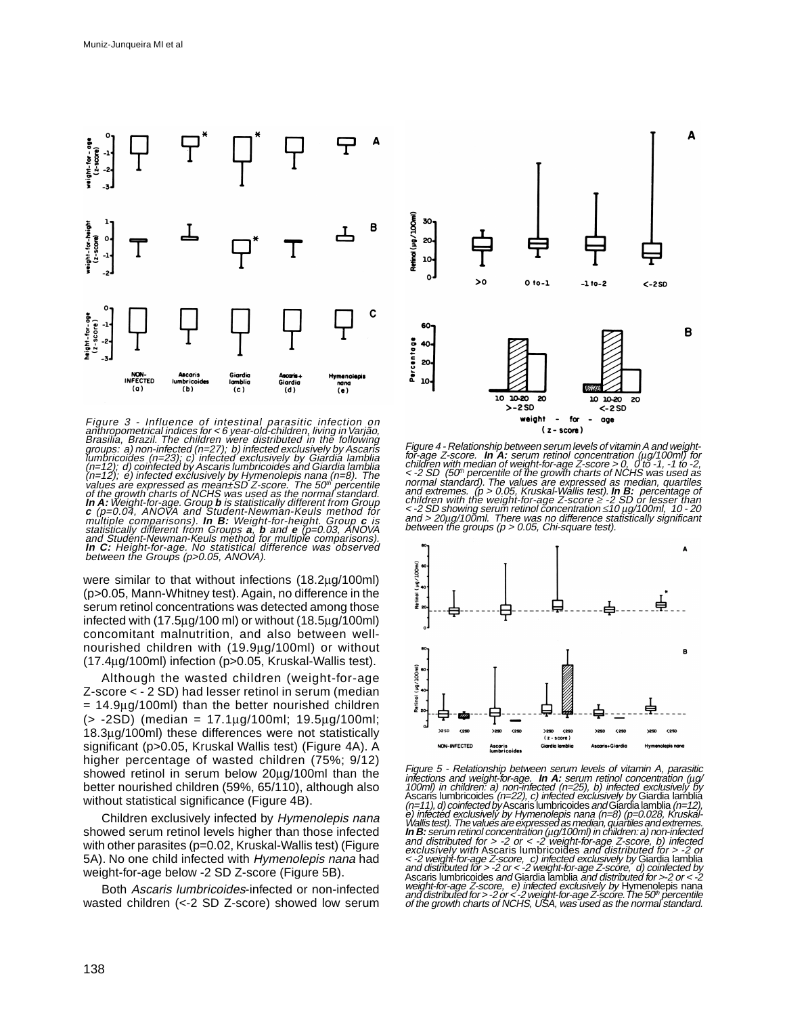

Figure 3 - Influence of intestinal parasitic infection on<br>anthropometrical indices for  $\sim$  6 year-old-children, iiving in Varigão,<br>Brasilia, Brazil. The children were distributed in the following<br>groups: a) non-infected **In C:** Height-for-age. No statistical difference was observed<br>between the Groups (p>0.05, ANOVA).

were similar to that without infections (18.2µg/100ml) (p>0.05, Mann-Whitney test). Again, no difference in the serum retinol concentrations was detected among those infected with (17.5µg/100 ml) or without (18.5µg/100ml) concomitant malnutrition, and also between wellnourished children with (19.9µg/100ml) or without (17.4µg/100ml) infection (p>0.05, Kruskal-Wallis test).

Although the wasted children (weight-for-age Z-score < - 2 SD) had lesser retinol in serum (median  $= 14.9 \mu g / 100$ ml) than the better nourished children (> -2SD) (median = 17.1µg/100ml; 19.5µg/100ml; 18.3µg/100ml) these differences were not statistically significant (p>0.05, Kruskal Wallis test) (Figure 4A). A higher percentage of wasted children (75%; 9/12) showed retinol in serum below 20µg/100ml than the better nourished children (59%, 65/110), although also without statistical significance (Figure 4B).

Children exclusively infected by Hymenolepis nana showed serum retinol levels higher than those infected with other parasites (p=0.02, Kruskal-Wallis test) (Figure 5A). No one child infected with Hymenolepis nana had weight-for-age below -2 SD Z-score (Figure 5B).

Both Ascaris lumbricoides-infected or non-infected wasted children (<-2 SD Z-score) showed low serum



Figure 4 - Relationship between serum levels of vitamin A and weightfor-age Z-score. **In A:** serum retinol concentration (µg/100ml) for children with median of weight-for-age Z-score > 0, 0 to -1, -1 to -2, < -2 SD (50<sup>th</sup> percentile of the growth charts of NCHS was used as<br>normal standard). The values are expressed as median, quartiles and extremes. (p > 0.05, Kruskal-Wallis test). **In B:** percentage of<br>children with the weight-for-age Z-score ≥ -2 SD or lesser than < -2 SD showing serum retinol concentration ≤10 µg/100ml, 10 - 20<br>and > 20µg/100ml. There was no difference statistically significant<br>between the groups (p > 0.05, Chi-square test).



Figure 5 - Relationship between serum levels of vitamin A, parasitic infections and weight-for-age. **In A:** serum retinol concentration (µg/<br>100ml) in children: a) non-infected (n=25), b) infected exclusively by<br>Ascaris lumbricoides (n=22), c) infected exclusively by Giardia lamblia (n=11), d) coinfected by Ascaris lumbricoides and Giardia lamblia (n=12),<br>e) infected exclusively by Hymenolepis nana (n=8) (p=0.028, Kruskal-<br>Wallis test). The values are expressed as median, quartiles and extremes. **In B:** serum retinol concentration (µg/100ml) in children: a) non-infected<br>and distributed for > -2 or < -2 weight-for-age Z-score, b) infected<br>exclusively with Ascaris lumbricoides and distributed for > -2 or < -2 weight-for-age Z-score, c) infected exclusively by Giardia lamblia and distributed for > -2 or < -2 weight-for-age Z-score, d) coinfected by Ascaris lumbricoides and Giardia lamblia and distributed for >-2 or < -2 weight-for-age Z-score, e) infected exclusively by Hymenolepis nana and distributed for > -2 or < -2 weight-for-age Z-score. The 50<sup>th</sup> percentile of the growth charts of NCHS, USA, was used as the normal standard.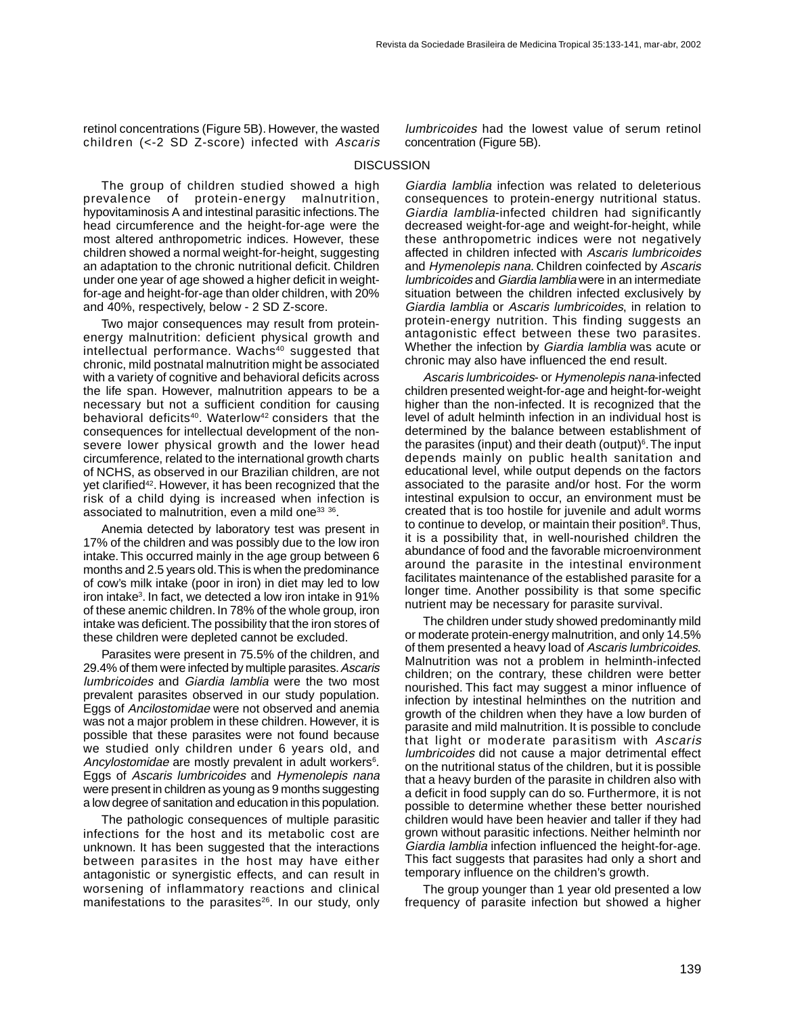retinol concentrations (Figure 5B). However, the wasted children (<-2 SD Z-score) infected with Ascaris lumbricoides had the lowest value of serum retinol concentration (Figure 5B).

#### **DISCUSSION**

The group of children studied showed a high prevalence of protein-energy malnutrition, hypovitaminosis A and intestinal parasitic infections. The head circumference and the height-for-age were the most altered anthropometric indices. However, these children showed a normal weight-for-height, suggesting an adaptation to the chronic nutritional deficit. Children under one year of age showed a higher deficit in weightfor-age and height-for-age than older children, with 20% and 40%, respectively, below - 2 SD Z-score.

Two major consequences may result from proteinenergy malnutrition: deficient physical growth and intellectual performance. Wachs<sup>40</sup> suggested that chronic, mild postnatal malnutrition might be associated with a variety of cognitive and behavioral deficits across the life span. However, malnutrition appears to be a necessary but not a sufficient condition for causing behavioral deficits<sup>40</sup>. Waterlow<sup>42</sup> considers that the consequences for intellectual development of the nonsevere lower physical growth and the lower head circumference, related to the international growth charts of NCHS, as observed in our Brazilian children, are not yet clarified<sup>42</sup>. However, it has been recognized that the risk of a child dying is increased when infection is associated to malnutrition, even a mild one<sup>33 36</sup>.

Anemia detected by laboratory test was present in 17% of the children and was possibly due to the low iron intake. This occurred mainly in the age group between 6 months and 2.5 years old. This is when the predominance of cow's milk intake (poor in iron) in diet may led to low iron intake<sup>3</sup>. In fact, we detected a low iron intake in 91% of these anemic children. In 78% of the whole group, iron intake was deficient. The possibility that the iron stores of these children were depleted cannot be excluded.

Parasites were present in 75.5% of the children, and 29.4% of them were infected by multiple parasites. Ascaris lumbricoides and Giardia lamblia were the two most prevalent parasites observed in our study population. Eggs of Ancilostomidae were not observed and anemia was not a major problem in these children. However, it is possible that these parasites were not found because we studied only children under 6 years old, and Ancylostomidae are mostly prevalent in adult workers<sup>6</sup>. Eggs of Ascaris lumbricoides and Hymenolepis nana were present in children as young as 9 months suggesting a low degree of sanitation and education in this population.

The pathologic consequences of multiple parasitic infections for the host and its metabolic cost are unknown. It has been suggested that the interactions between parasites in the host may have either antagonistic or synergistic effects, and can result in worsening of inflammatory reactions and clinical manifestations to the parasites $26$ . In our study, only Giardia lamblia infection was related to deleterious consequences to protein-energy nutritional status. Giardia lamblia-infected children had significantly decreased weight-for-age and weight-for-height, while these anthropometric indices were not negatively affected in children infected with Ascaris lumbricoides and Hymenolepis nana. Children coinfected by Ascaris lumbricoides and Giardia lamblia were in an intermediate situation between the children infected exclusively by Giardia lamblia or Ascaris lumbricoides, in relation to protein-energy nutrition. This finding suggests an antagonistic effect between these two parasites. Whether the infection by Giardia lamblia was acute or chronic may also have influenced the end result.

Ascaris lumbricoides- or Hymenolepis nana-infected children presented weight-for-age and height-for-weight higher than the non-infected. It is recognized that the level of adult helminth infection in an individual host is determined by the balance between establishment of the parasites (input) and their death (output)<sup>6</sup>. The input depends mainly on public health sanitation and educational level, while output depends on the factors associated to the parasite and/or host. For the worm intestinal expulsion to occur, an environment must be created that is too hostile for juvenile and adult worms to continue to develop, or maintain their position<sup>8</sup>. Thus, it is a possibility that, in well-nourished children the abundance of food and the favorable microenvironment around the parasite in the intestinal environment facilitates maintenance of the established parasite for a longer time. Another possibility is that some specific nutrient may be necessary for parasite survival.

The children under study showed predominantly mild or moderate protein-energy malnutrition, and only 14.5% of them presented a heavy load of Ascaris lumbricoides. Malnutrition was not a problem in helminth-infected children; on the contrary, these children were better nourished. This fact may suggest a minor influence of infection by intestinal helminthes on the nutrition and growth of the children when they have a low burden of parasite and mild malnutrition. It is possible to conclude that light or moderate parasitism with Ascaris lumbricoides did not cause a major detrimental effect on the nutritional status of the children, but it is possible that a heavy burden of the parasite in children also with a deficit in food supply can do so. Furthermore, it is not possible to determine whether these better nourished children would have been heavier and taller if they had grown without parasitic infections. Neither helminth nor Giardia lamblia infection influenced the height-for-age. This fact suggests that parasites had only a short and temporary influence on the children's growth.

The group younger than 1 year old presented a low frequency of parasite infection but showed a higher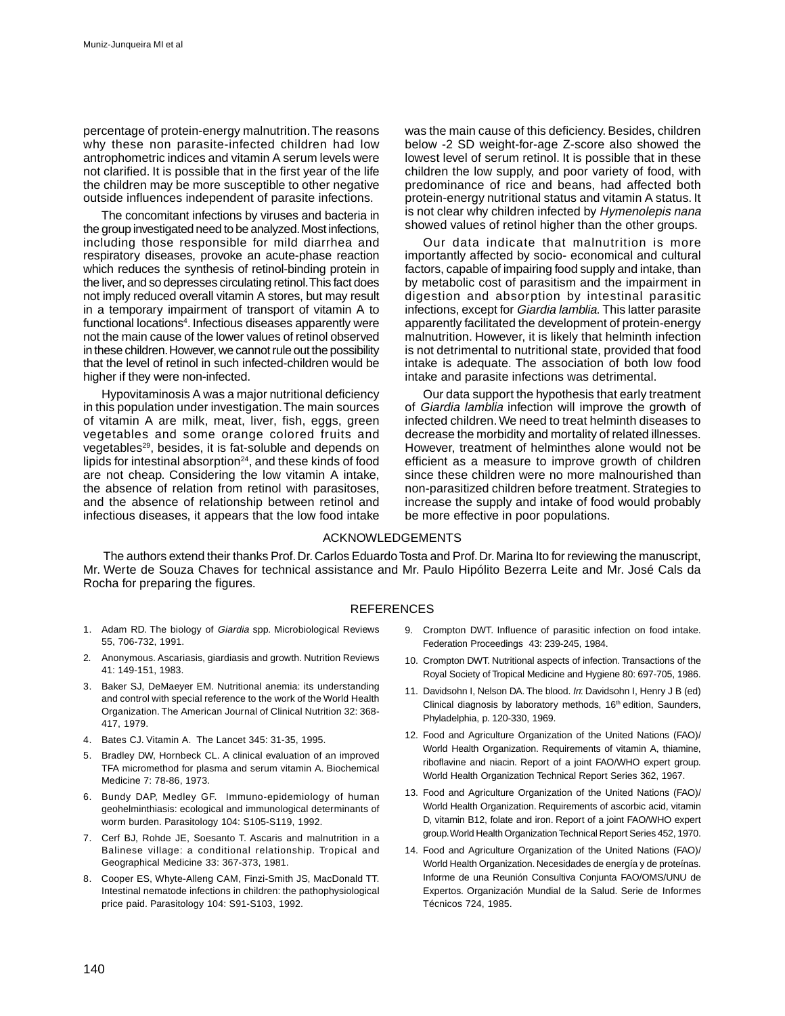percentage of protein-energy malnutrition. The reasons why these non parasite-infected children had low antrophometric indices and vitamin A serum levels were not clarified. It is possible that in the first year of the life the children may be more susceptible to other negative outside influences independent of parasite infections.

The concomitant infections by viruses and bacteria in the group investigated need to be analyzed. Most infections, including those responsible for mild diarrhea and respiratory diseases, provoke an acute-phase reaction which reduces the synthesis of retinol-binding protein in the liver, and so depresses circulating retinol. This fact does not imply reduced overall vitamin A stores, but may result in a temporary impairment of transport of vitamin A to functional locations<sup>4</sup>. Infectious diseases apparently were not the main cause of the lower values of retinol observed in these children. However, we cannot rule out the possibility that the level of retinol in such infected-children would be higher if they were non-infected.

Hypovitaminosis A was a major nutritional deficiency in this population under investigation. The main sources of vitamin A are milk, meat, liver, fish, eggs, green vegetables and some orange colored fruits and vegetables29, besides, it is fat-soluble and depends on lipids for intestinal absorption<sup>24</sup>, and these kinds of food are not cheap. Considering the low vitamin A intake, the absence of relation from retinol with parasitoses, and the absence of relationship between retinol and infectious diseases, it appears that the low food intake

was the main cause of this deficiency. Besides, children below -2 SD weight-for-age Z-score also showed the lowest level of serum retinol. It is possible that in these children the low supply, and poor variety of food, with predominance of rice and beans, had affected both protein-energy nutritional status and vitamin A status. It is not clear why children infected by Hymenolepis nana showed values of retinol higher than the other groups.

Our data indicate that malnutrition is more importantly affected by socio- economical and cultural factors, capable of impairing food supply and intake, than by metabolic cost of parasitism and the impairment in digestion and absorption by intestinal parasitic infections, except for Giardia lamblia. This latter parasite apparently facilitated the development of protein-energy malnutrition. However, it is likely that helminth infection is not detrimental to nutritional state, provided that food intake is adequate. The association of both low food intake and parasite infections was detrimental.

Our data support the hypothesis that early treatment of Giardia lamblia infection will improve the growth of infected children. We need to treat helminth diseases to decrease the morbidity and mortality of related illnesses. However, treatment of helminthes alone would not be efficient as a measure to improve growth of children since these children were no more malnourished than non-parasitized children before treatment. Strategies to increase the supply and intake of food would probably be more effective in poor populations.

#### ACKNOWLEDGEMENTS

 The authors extend their thanks Prof. Dr. Carlos Eduardo Tosta and Prof. Dr. Marina Ito for reviewing the manuscript, Mr. Werte de Souza Chaves for technical assistance and Mr. Paulo Hipólito Bezerra Leite and Mr. José Cals da Rocha for preparing the figures.

#### **REFERENCES**

- 1. Adam RD. The biology of Giardia spp. Microbiological Reviews 55, 706-732, 1991.
- 2. Anonymous. Ascariasis, giardiasis and growth. Nutrition Reviews 41: 149-151, 1983.
- 3. Baker SJ, DeMaeyer EM. Nutritional anemia: its understanding and control with special reference to the work of the World Health Organization. The American Journal of Clinical Nutrition 32: 368- 417, 1979.
- 4. Bates CJ. Vitamin A. The Lancet 345: 31-35, 1995.
- 5. Bradley DW, Hornbeck CL. A clinical evaluation of an improved TFA micromethod for plasma and serum vitamin A. Biochemical Medicine 7: 78-86, 1973.
- 6. Bundy DAP, Medley GF. Immuno-epidemiology of human geohelminthiasis: ecological and immunological determinants of worm burden. Parasitology 104: S105-S119, 1992.
- 7. Cerf BJ, Rohde JE, Soesanto T. Ascaris and malnutrition in a Balinese village: a conditional relationship. Tropical and Geographical Medicine 33: 367-373, 1981.
- 8. Cooper ES, Whyte-Alleng CAM, Finzi-Smith JS, MacDonald TT. Intestinal nematode infections in children: the pathophysiological price paid. Parasitology 104: S91-S103, 1992.
- 9. Crompton DWT. Influence of parasitic infection on food intake. Federation Proceedings 43: 239-245, 1984.
- 10. Crompton DWT. Nutritional aspects of infection. Transactions of the Royal Society of Tropical Medicine and Hygiene 80: 697-705, 1986.
- 11. Davidsohn I, Nelson DA. The blood. In: Davidsohn I, Henry J B (ed) Clinical diagnosis by laboratory methods, 16<sup>th</sup> edition, Saunders, Phyladelphia, p. 120-330, 1969.
- 12. Food and Agriculture Organization of the United Nations (FAO)/ World Health Organization. Requirements of vitamin A, thiamine, riboflavine and niacin. Report of a joint FAO/WHO expert group. World Health Organization Technical Report Series 362, 1967.
- 13. Food and Agriculture Organization of the United Nations (FAO)/ World Health Organization. Requirements of ascorbic acid, vitamin D, vitamin B12, folate and iron. Report of a joint FAO/WHO expert group. World Health Organization Technical Report Series 452, 1970.
- 14. Food and Agriculture Organization of the United Nations (FAO)/ World Health Organization. Necesidades de energía y de proteínas. Informe de una Reunión Consultiva Conjunta FAO/OMS/UNU de Expertos. Organización Mundial de la Salud. Serie de Informes Técnicos 724, 1985.